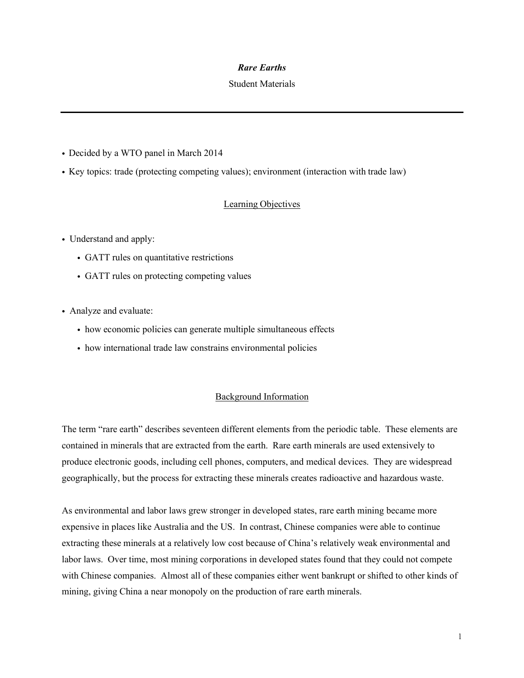### *Rare Earths*

#### Student Materials

- Decided by a WTO panel in March 2014
- ! Key topics: trade (protecting competing values); environment (interaction with trade law)

## Learning Objectives

- Understand and apply:
	- ! GATT rules on quantitative restrictions
	- ! GATT rules on protecting competing values
- ! Analyze and evaluate:
	- ! how economic policies can generate multiple simultaneous effects
	- ! how international trade law constrains environmental policies

### Background Information

The term "rare earth" describes seventeen different elements from the periodic table. These elements are contained in minerals that are extracted from the earth. Rare earth minerals are used extensively to produce electronic goods, including cell phones, computers, and medical devices. They are widespread geographically, but the process for extracting these minerals creates radioactive and hazardous waste.

As environmental and labor laws grew stronger in developed states, rare earth mining became more expensive in places like Australia and the US. In contrast, Chinese companies were able to continue extracting these minerals at a relatively low cost because of China's relatively weak environmental and labor laws. Over time, most mining corporations in developed states found that they could not compete with Chinese companies. Almost all of these companies either went bankrupt or shifted to other kinds of mining, giving China a near monopoly on the production of rare earth minerals.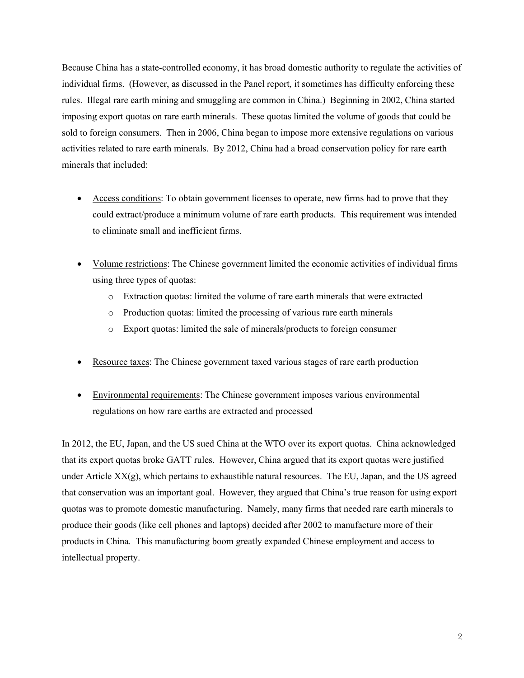Because China has a state-controlled economy, it has broad domestic authority to regulate the activities of individual firms. (However, as discussed in the Panel report, it sometimes has difficulty enforcing these rules. Illegal rare earth mining and smuggling are common in China.) Beginning in 2002, China started imposing export quotas on rare earth minerals. These quotas limited the volume of goods that could be sold to foreign consumers. Then in 2006, China began to impose more extensive regulations on various activities related to rare earth minerals. By 2012, China had a broad conservation policy for rare earth minerals that included:

- Access conditions: To obtain government licenses to operate, new firms had to prove that they could extract/produce a minimum volume of rare earth products. This requirement was intended to eliminate small and inefficient firms.
- Volume restrictions: The Chinese government limited the economic activities of individual firms using three types of quotas:
	- o Extraction quotas: limited the volume of rare earth minerals that were extracted
	- o Production quotas: limited the processing of various rare earth minerals
	- o Export quotas: limited the sale of minerals/products to foreign consumer
- Resource taxes: The Chinese government taxed various stages of rare earth production
- Environmental requirements: The Chinese government imposes various environmental regulations on how rare earths are extracted and processed

In 2012, the EU, Japan, and the US sued China at the WTO over its export quotas. China acknowledged that its export quotas broke GATT rules. However, China argued that its export quotas were justified under Article  $XX(g)$ , which pertains to exhaustible natural resources. The EU, Japan, and the US agreed that conservation was an important goal. However, they argued that China's true reason for using export quotas was to promote domestic manufacturing. Namely, many firms that needed rare earth minerals to produce their goods (like cell phones and laptops) decided after 2002 to manufacture more of their products in China. This manufacturing boom greatly expanded Chinese employment and access to intellectual property.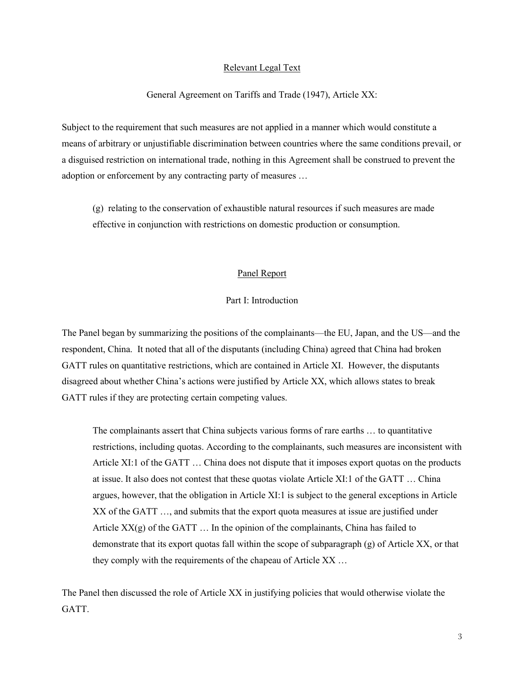#### Relevant Legal Text

#### General Agreement on Tariffs and Trade (1947), Article XX:

Subject to the requirement that such measures are not applied in a manner which would constitute a means of arbitrary or unjustifiable discrimination between countries where the same conditions prevail, or a disguised restriction on international trade, nothing in this Agreement shall be construed to prevent the adoption or enforcement by any contracting party of measures …

(g) relating to the conservation of exhaustible natural resources if such measures are made effective in conjunction with restrictions on domestic production or consumption.

#### Panel Report

#### Part I: Introduction

The Panel began by summarizing the positions of the complainants—the EU, Japan, and the US—and the respondent, China. It noted that all of the disputants (including China) agreed that China had broken GATT rules on quantitative restrictions, which are contained in Article XI. However, the disputants disagreed about whether China's actions were justified by Article XX, which allows states to break GATT rules if they are protecting certain competing values.

The complainants assert that China subjects various forms of rare earths … to quantitative restrictions, including quotas. According to the complainants, such measures are inconsistent with Article XI:1 of the GATT … China does not dispute that it imposes export quotas on the products at issue. It also does not contest that these quotas violate Article XI:1 of the GATT … China argues, however, that the obligation in Article XI:1 is subject to the general exceptions in Article XX of the GATT …, and submits that the export quota measures at issue are justified under Article  $XX(g)$  of the GATT  $\dots$  In the opinion of the complainants, China has failed to demonstrate that its export quotas fall within the scope of subparagraph (g) of Article XX, or that they comply with the requirements of the chapeau of Article XX …

The Panel then discussed the role of Article XX in justifying policies that would otherwise violate the GATT.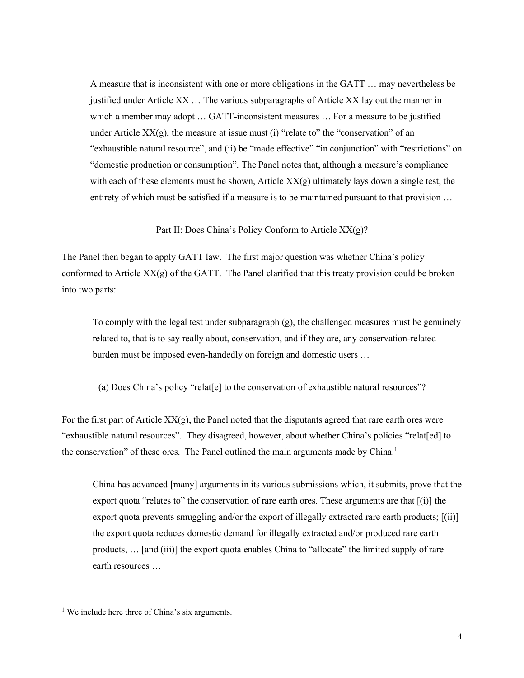A measure that is inconsistent with one or more obligations in the GATT … may nevertheless be justified under Article XX … The various subparagraphs of Article XX lay out the manner in which a member may adopt ... GATT-inconsistent measures ... For a measure to be justified under Article  $XX(g)$ , the measure at issue must (i) "relate to" the "conservation" of an "exhaustible natural resource", and (ii) be "made effective" "in conjunction" with "restrictions" on "domestic production or consumption". The Panel notes that, although a measure's compliance with each of these elements must be shown, Article  $XX(g)$  ultimately lays down a single test, the entirety of which must be satisfied if a measure is to be maintained pursuant to that provision …

Part II: Does China's Policy Conform to Article XX(g)?

The Panel then began to apply GATT law. The first major question was whether China's policy conformed to Article  $XX(g)$  of the GATT. The Panel clarified that this treaty provision could be broken into two parts:

To comply with the legal test under subparagraph (g), the challenged measures must be genuinely related to, that is to say really about, conservation, and if they are, any conservation-related burden must be imposed even-handedly on foreign and domestic users …

(a) Does China's policy "relat[e] to the conservation of exhaustible natural resources"?

For the first part of Article  $XX(g)$ , the Panel noted that the disputants agreed that rare earth ores were "exhaustible natural resources". They disagreed, however, about whether China's policies "relat[ed] to the conservation" of these ores. The Panel outlined the main arguments made by China.<sup>1</sup>

China has advanced [many] arguments in its various submissions which, it submits, prove that the export quota "relates to" the conservation of rare earth ores. These arguments are that  $[(i)]$  the export quota prevents smuggling and/or the export of illegally extracted rare earth products; [(ii)] the export quota reduces domestic demand for illegally extracted and/or produced rare earth products, … [and (iii)] the export quota enables China to "allocate" the limited supply of rare earth resources …

 $<sup>1</sup>$  We include here three of China's six arguments.</sup>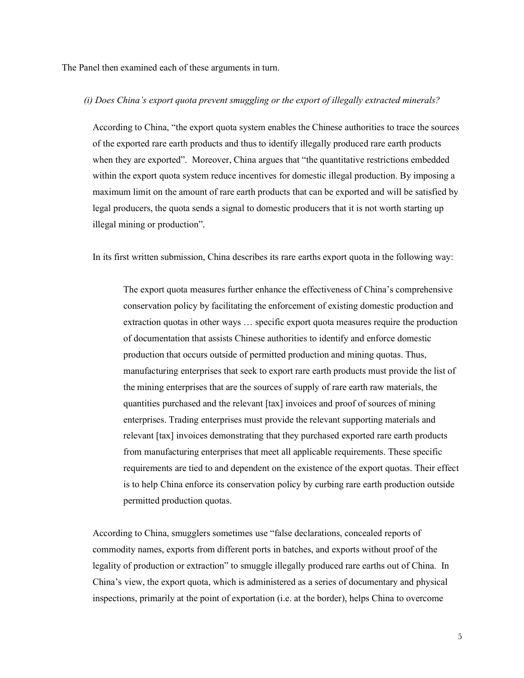The Panel then examined each of these arguments in turn.

#### *(i) Does China's export quota prevent smuggling or the export of illegally extracted minerals?*

According to China, "the export quota system enables the Chinese authorities to trace the sources of the exported rare earth products and thus to identify illegally produced rare earth products when they are exported". Moreover, China argues that "the quantitative restrictions embedded within the export quota system reduce incentives for domestic illegal production. By imposing a maximum limit on the amount of rare earth products that can be exported and will be satisfied by legal producers, the quota sends a signal to domestic producers that it is not worth starting up illegal mining or production".

In its first written submission, China describes its rare earths export quota in the following way:

The export quota measures further enhance the effectiveness of China's comprehensive conservation policy by facilitating the enforcement of existing domestic production and extraction quotas in other ways … specific export quota measures require the production of documentation that assists Chinese authorities to identify and enforce domestic production that occurs outside of permitted production and mining quotas. Thus, manufacturing enterprises that seek to export rare earth products must provide the list of the mining enterprises that are the sources of supply of rare earth raw materials, the quantities purchased and the relevant [tax] invoices and proof of sources of mining enterprises. Trading enterprises must provide the relevant supporting materials and relevant [tax] invoices demonstrating that they purchased exported rare earth products from manufacturing enterprises that meet all applicable requirements. These specific requirements are tied to and dependent on the existence of the export quotas. Their effect is to help China enforce its conservation policy by curbing rare earth production outside permitted production quotas.

According to China, smugglers sometimes use "false declarations, concealed reports of commodity names, exports from different ports in batches, and exports without proof of the legality of production or extraction" to smuggle illegally produced rare earths out of China. In China's view, the export quota, which is administered as a series of documentary and physical inspections, primarily at the point of exportation (i.e. at the border), helps China to overcome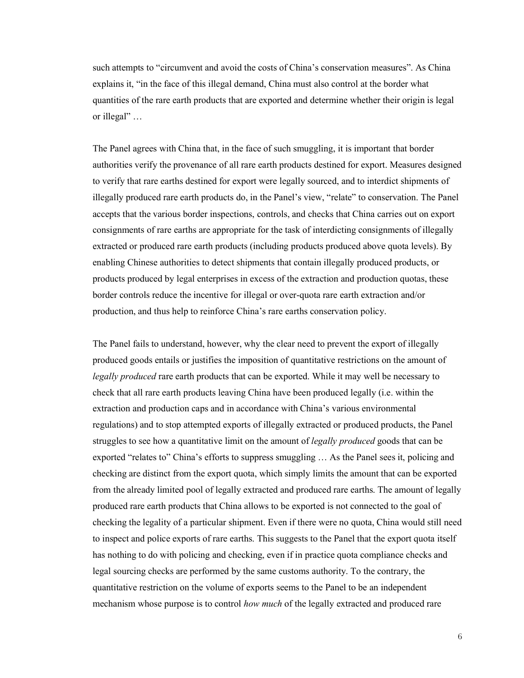such attempts to "circumvent and avoid the costs of China's conservation measures". As China explains it, "in the face of this illegal demand, China must also control at the border what quantities of the rare earth products that are exported and determine whether their origin is legal or illegal" …

The Panel agrees with China that, in the face of such smuggling, it is important that border authorities verify the provenance of all rare earth products destined for export. Measures designed to verify that rare earths destined for export were legally sourced, and to interdict shipments of illegally produced rare earth products do, in the Panel's view, "relate" to conservation. The Panel accepts that the various border inspections, controls, and checks that China carries out on export consignments of rare earths are appropriate for the task of interdicting consignments of illegally extracted or produced rare earth products (including products produced above quota levels). By enabling Chinese authorities to detect shipments that contain illegally produced products, or products produced by legal enterprises in excess of the extraction and production quotas, these border controls reduce the incentive for illegal or over-quota rare earth extraction and/or production, and thus help to reinforce China's rare earths conservation policy.

The Panel fails to understand, however, why the clear need to prevent the export of illegally produced goods entails or justifies the imposition of quantitative restrictions on the amount of *legally produced* rare earth products that can be exported. While it may well be necessary to check that all rare earth products leaving China have been produced legally (i.e. within the extraction and production caps and in accordance with China's various environmental regulations) and to stop attempted exports of illegally extracted or produced products, the Panel struggles to see how a quantitative limit on the amount of *legally produced* goods that can be exported "relates to" China's efforts to suppress smuggling … As the Panel sees it, policing and checking are distinct from the export quota, which simply limits the amount that can be exported from the already limited pool of legally extracted and produced rare earths. The amount of legally produced rare earth products that China allows to be exported is not connected to the goal of checking the legality of a particular shipment. Even if there were no quota, China would still need to inspect and police exports of rare earths. This suggests to the Panel that the export quota itself has nothing to do with policing and checking, even if in practice quota compliance checks and legal sourcing checks are performed by the same customs authority. To the contrary, the quantitative restriction on the volume of exports seems to the Panel to be an independent mechanism whose purpose is to control *how much* of the legally extracted and produced rare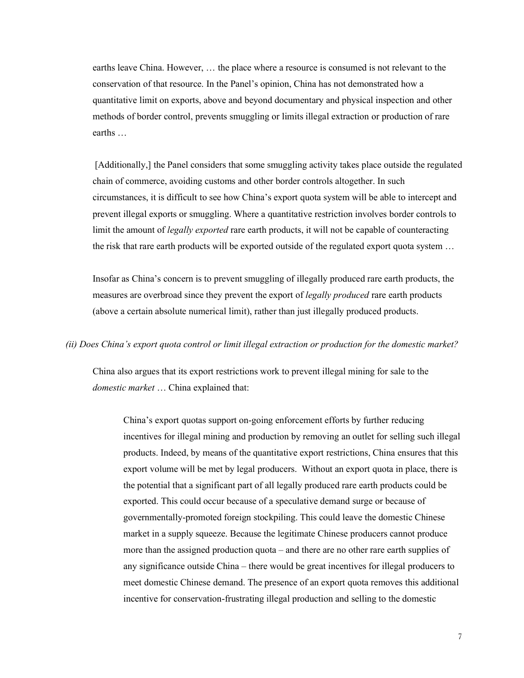earths leave China. However, … the place where a resource is consumed is not relevant to the conservation of that resource. In the Panel's opinion, China has not demonstrated how a quantitative limit on exports, above and beyond documentary and physical inspection and other methods of border control, prevents smuggling or limits illegal extraction or production of rare earths …

[Additionally,] the Panel considers that some smuggling activity takes place outside the regulated chain of commerce, avoiding customs and other border controls altogether. In such circumstances, it is difficult to see how China's export quota system will be able to intercept and prevent illegal exports or smuggling. Where a quantitative restriction involves border controls to limit the amount of *legally exported* rare earth products, it will not be capable of counteracting the risk that rare earth products will be exported outside of the regulated export quota system …

Insofar as China's concern is to prevent smuggling of illegally produced rare earth products, the measures are overbroad since they prevent the export of *legally produced* rare earth products (above a certain absolute numerical limit), rather than just illegally produced products.

#### *(ii) Does China's export quota control or limit illegal extraction or production for the domestic market?*

China also argues that its export restrictions work to prevent illegal mining for sale to the *domestic market* … China explained that:

China's export quotas support on-going enforcement efforts by further reducing incentives for illegal mining and production by removing an outlet for selling such illegal products. Indeed, by means of the quantitative export restrictions, China ensures that this export volume will be met by legal producers. Without an export quota in place, there is the potential that a significant part of all legally produced rare earth products could be exported. This could occur because of a speculative demand surge or because of governmentally-promoted foreign stockpiling. This could leave the domestic Chinese market in a supply squeeze. Because the legitimate Chinese producers cannot produce more than the assigned production quota – and there are no other rare earth supplies of any significance outside China – there would be great incentives for illegal producers to meet domestic Chinese demand. The presence of an export quota removes this additional incentive for conservation-frustrating illegal production and selling to the domestic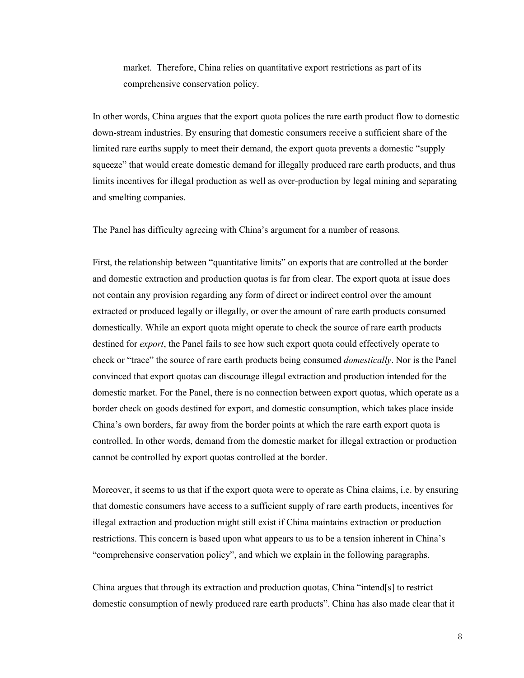market. Therefore, China relies on quantitative export restrictions as part of its comprehensive conservation policy.

In other words, China argues that the export quota polices the rare earth product flow to domestic down-stream industries. By ensuring that domestic consumers receive a sufficient share of the limited rare earths supply to meet their demand, the export quota prevents a domestic "supply squeeze" that would create domestic demand for illegally produced rare earth products, and thus limits incentives for illegal production as well as over-production by legal mining and separating and smelting companies.

The Panel has difficulty agreeing with China's argument for a number of reasons.

First, the relationship between "quantitative limits" on exports that are controlled at the border and domestic extraction and production quotas is far from clear. The export quota at issue does not contain any provision regarding any form of direct or indirect control over the amount extracted or produced legally or illegally, or over the amount of rare earth products consumed domestically. While an export quota might operate to check the source of rare earth products destined for *export*, the Panel fails to see how such export quota could effectively operate to check or "trace" the source of rare earth products being consumed *domestically*. Nor is the Panel convinced that export quotas can discourage illegal extraction and production intended for the domestic market. For the Panel, there is no connection between export quotas, which operate as a border check on goods destined for export, and domestic consumption, which takes place inside China's own borders, far away from the border points at which the rare earth export quota is controlled. In other words, demand from the domestic market for illegal extraction or production cannot be controlled by export quotas controlled at the border.

Moreover, it seems to us that if the export quota were to operate as China claims, i.e. by ensuring that domestic consumers have access to a sufficient supply of rare earth products, incentives for illegal extraction and production might still exist if China maintains extraction or production restrictions. This concern is based upon what appears to us to be a tension inherent in China's "comprehensive conservation policy", and which we explain in the following paragraphs.

China argues that through its extraction and production quotas, China "intend[s] to restrict domestic consumption of newly produced rare earth products". China has also made clear that it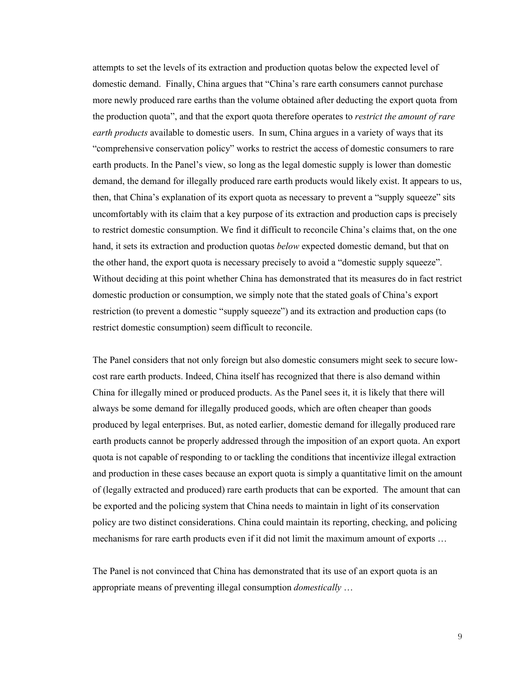attempts to set the levels of its extraction and production quotas below the expected level of domestic demand. Finally, China argues that "China's rare earth consumers cannot purchase more newly produced rare earths than the volume obtained after deducting the export quota from the production quota", and that the export quota therefore operates to *restrict the amount of rare earth products* available to domestic users. In sum, China argues in a variety of ways that its "comprehensive conservation policy" works to restrict the access of domestic consumers to rare earth products. In the Panel's view, so long as the legal domestic supply is lower than domestic demand, the demand for illegally produced rare earth products would likely exist. It appears to us, then, that China's explanation of its export quota as necessary to prevent a "supply squeeze" sits uncomfortably with its claim that a key purpose of its extraction and production caps is precisely to restrict domestic consumption. We find it difficult to reconcile China's claims that, on the one hand, it sets its extraction and production quotas *below* expected domestic demand, but that on the other hand, the export quota is necessary precisely to avoid a "domestic supply squeeze". Without deciding at this point whether China has demonstrated that its measures do in fact restrict domestic production or consumption, we simply note that the stated goals of China's export restriction (to prevent a domestic "supply squeeze") and its extraction and production caps (to restrict domestic consumption) seem difficult to reconcile.

The Panel considers that not only foreign but also domestic consumers might seek to secure lowcost rare earth products. Indeed, China itself has recognized that there is also demand within China for illegally mined or produced products. As the Panel sees it, it is likely that there will always be some demand for illegally produced goods, which are often cheaper than goods produced by legal enterprises. But, as noted earlier, domestic demand for illegally produced rare earth products cannot be properly addressed through the imposition of an export quota. An export quota is not capable of responding to or tackling the conditions that incentivize illegal extraction and production in these cases because an export quota is simply a quantitative limit on the amount of (legally extracted and produced) rare earth products that can be exported. The amount that can be exported and the policing system that China needs to maintain in light of its conservation policy are two distinct considerations. China could maintain its reporting, checking, and policing mechanisms for rare earth products even if it did not limit the maximum amount of exports …

The Panel is not convinced that China has demonstrated that its use of an export quota is an appropriate means of preventing illegal consumption *domestically* …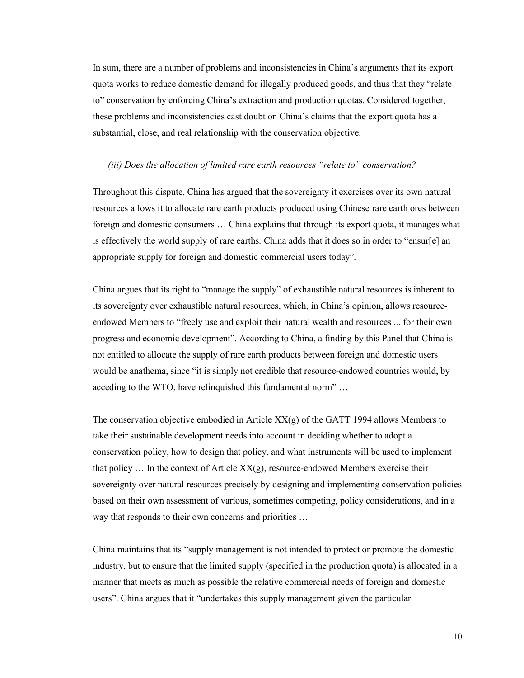In sum, there are a number of problems and inconsistencies in China's arguments that its export quota works to reduce domestic demand for illegally produced goods, and thus that they "relate to" conservation by enforcing China's extraction and production quotas. Considered together, these problems and inconsistencies cast doubt on China's claims that the export quota has a substantial, close, and real relationship with the conservation objective.

#### *(iii) Does the allocation of limited rare earth resources "relate to" conservation?*

Throughout this dispute, China has argued that the sovereignty it exercises over its own natural resources allows it to allocate rare earth products produced using Chinese rare earth ores between foreign and domestic consumers … China explains that through its export quota, it manages what is effectively the world supply of rare earths. China adds that it does so in order to "ensur[e] an appropriate supply for foreign and domestic commercial users today".

China argues that its right to "manage the supply" of exhaustible natural resources is inherent to its sovereignty over exhaustible natural resources, which, in China's opinion, allows resourceendowed Members to "freely use and exploit their natural wealth and resources ... for their own progress and economic development". According to China, a finding by this Panel that China is not entitled to allocate the supply of rare earth products between foreign and domestic users would be anathema, since "it is simply not credible that resource-endowed countries would, by acceding to the WTO, have relinquished this fundamental norm" …

The conservation objective embodied in Article  $XX(g)$  of the GATT 1994 allows Members to take their sustainable development needs into account in deciding whether to adopt a conservation policy, how to design that policy, and what instruments will be used to implement that policy  $\ldots$  In the context of Article  $XX(g)$ , resource-endowed Members exercise their sovereignty over natural resources precisely by designing and implementing conservation policies based on their own assessment of various, sometimes competing, policy considerations, and in a way that responds to their own concerns and priorities …

China maintains that its "supply management is not intended to protect or promote the domestic industry, but to ensure that the limited supply (specified in the production quota) is allocated in a manner that meets as much as possible the relative commercial needs of foreign and domestic users". China argues that it "undertakes this supply management given the particular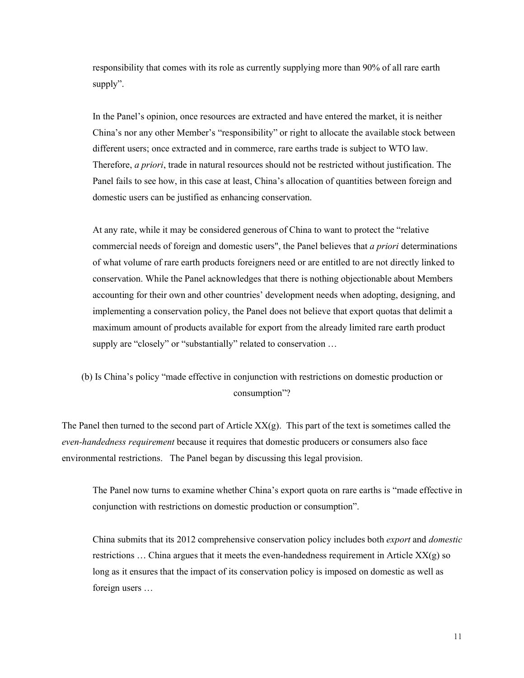responsibility that comes with its role as currently supplying more than 90% of all rare earth supply".

In the Panel's opinion, once resources are extracted and have entered the market, it is neither China's nor any other Member's "responsibility" or right to allocate the available stock between different users; once extracted and in commerce, rare earths trade is subject to WTO law. Therefore, *a priori*, trade in natural resources should not be restricted without justification. The Panel fails to see how, in this case at least, China's allocation of quantities between foreign and domestic users can be justified as enhancing conservation.

At any rate, while it may be considered generous of China to want to protect the "relative commercial needs of foreign and domestic users", the Panel believes that *a priori* determinations of what volume of rare earth products foreigners need or are entitled to are not directly linked to conservation. While the Panel acknowledges that there is nothing objectionable about Members accounting for their own and other countries' development needs when adopting, designing, and implementing a conservation policy, the Panel does not believe that export quotas that delimit a maximum amount of products available for export from the already limited rare earth product supply are "closely" or "substantially" related to conservation ...

# (b) Is China's policy "made effective in conjunction with restrictions on domestic production or consumption"?

The Panel then turned to the second part of Article  $XX(g)$ . This part of the text is sometimes called the *even-handedness requirement* because it requires that domestic producers or consumers also face environmental restrictions. The Panel began by discussing this legal provision.

The Panel now turns to examine whether China's export quota on rare earths is "made effective in conjunction with restrictions on domestic production or consumption".

China submits that its 2012 comprehensive conservation policy includes both *export* and *domestic* restrictions  $\ldots$  China argues that it meets the even-handedness requirement in Article  $XX(g)$  so long as it ensures that the impact of its conservation policy is imposed on domestic as well as foreign users …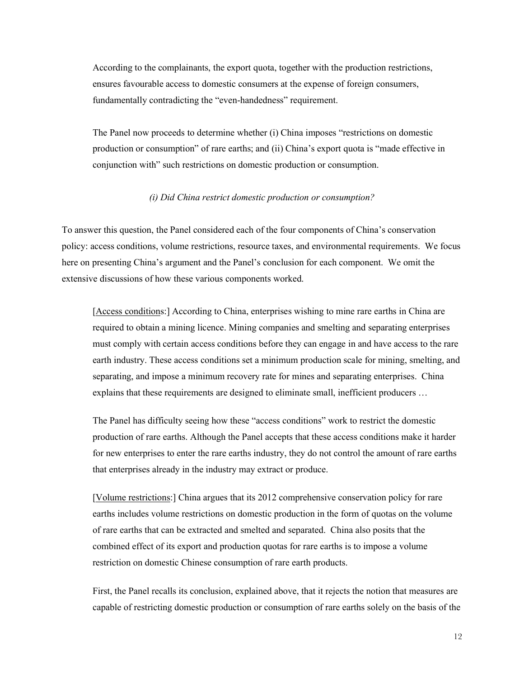According to the complainants, the export quota, together with the production restrictions, ensures favourable access to domestic consumers at the expense of foreign consumers, fundamentally contradicting the "even-handedness" requirement.

The Panel now proceeds to determine whether (i) China imposes "restrictions on domestic production or consumption" of rare earths; and (ii) China's export quota is "made effective in conjunction with" such restrictions on domestic production or consumption.

#### *(i) Did China restrict domestic production or consumption?*

To answer this question, the Panel considered each of the four components of China's conservation policy: access conditions, volume restrictions, resource taxes, and environmental requirements. We focus here on presenting China's argument and the Panel's conclusion for each component. We omit the extensive discussions of how these various components worked.

[Access conditions:] According to China, enterprises wishing to mine rare earths in China are required to obtain a mining licence. Mining companies and smelting and separating enterprises must comply with certain access conditions before they can engage in and have access to the rare earth industry. These access conditions set a minimum production scale for mining, smelting, and separating, and impose a minimum recovery rate for mines and separating enterprises. China explains that these requirements are designed to eliminate small, inefficient producers …

The Panel has difficulty seeing how these "access conditions" work to restrict the domestic production of rare earths. Although the Panel accepts that these access conditions make it harder for new enterprises to enter the rare earths industry, they do not control the amount of rare earths that enterprises already in the industry may extract or produce.

[Volume restrictions:] China argues that its 2012 comprehensive conservation policy for rare earths includes volume restrictions on domestic production in the form of quotas on the volume of rare earths that can be extracted and smelted and separated. China also posits that the combined effect of its export and production quotas for rare earths is to impose a volume restriction on domestic Chinese consumption of rare earth products.

First, the Panel recalls its conclusion, explained above, that it rejects the notion that measures are capable of restricting domestic production or consumption of rare earths solely on the basis of the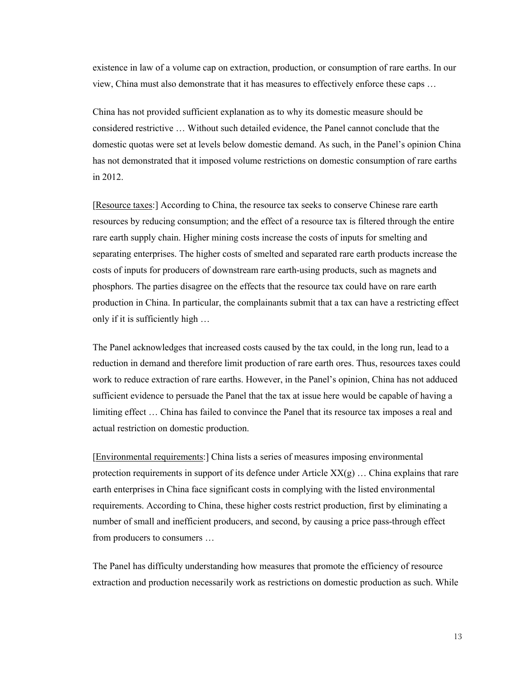existence in law of a volume cap on extraction, production, or consumption of rare earths. In our view, China must also demonstrate that it has measures to effectively enforce these caps …

China has not provided sufficient explanation as to why its domestic measure should be considered restrictive … Without such detailed evidence, the Panel cannot conclude that the domestic quotas were set at levels below domestic demand. As such, in the Panel's opinion China has not demonstrated that it imposed volume restrictions on domestic consumption of rare earths in 2012.

[Resource taxes:] According to China, the resource tax seeks to conserve Chinese rare earth resources by reducing consumption; and the effect of a resource tax is filtered through the entire rare earth supply chain. Higher mining costs increase the costs of inputs for smelting and separating enterprises. The higher costs of smelted and separated rare earth products increase the costs of inputs for producers of downstream rare earth-using products, such as magnets and phosphors. The parties disagree on the effects that the resource tax could have on rare earth production in China. In particular, the complainants submit that a tax can have a restricting effect only if it is sufficiently high …

The Panel acknowledges that increased costs caused by the tax could, in the long run, lead to a reduction in demand and therefore limit production of rare earth ores. Thus, resources taxes could work to reduce extraction of rare earths. However, in the Panel's opinion, China has not adduced sufficient evidence to persuade the Panel that the tax at issue here would be capable of having a limiting effect … China has failed to convince the Panel that its resource tax imposes a real and actual restriction on domestic production.

[Environmental requirements:] China lists a series of measures imposing environmental protection requirements in support of its defence under Article  $XX(g)$ ... China explains that rare earth enterprises in China face significant costs in complying with the listed environmental requirements. According to China, these higher costs restrict production, first by eliminating a number of small and inefficient producers, and second, by causing a price pass-through effect from producers to consumers …

The Panel has difficulty understanding how measures that promote the efficiency of resource extraction and production necessarily work as restrictions on domestic production as such. While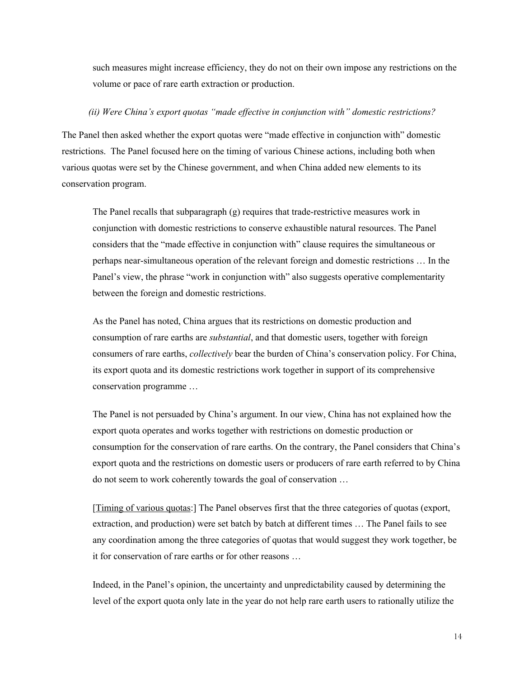such measures might increase efficiency, they do not on their own impose any restrictions on the volume or pace of rare earth extraction or production.

#### *(ii) Were China's export quotas "made effective in conjunction with" domestic restrictions?*

The Panel then asked whether the export quotas were "made effective in conjunction with" domestic restrictions. The Panel focused here on the timing of various Chinese actions, including both when various quotas were set by the Chinese government, and when China added new elements to its conservation program.

The Panel recalls that subparagraph (g) requires that trade-restrictive measures work in conjunction with domestic restrictions to conserve exhaustible natural resources. The Panel considers that the "made effective in conjunction with" clause requires the simultaneous or perhaps near-simultaneous operation of the relevant foreign and domestic restrictions … In the Panel's view, the phrase "work in conjunction with" also suggests operative complementarity between the foreign and domestic restrictions.

As the Panel has noted, China argues that its restrictions on domestic production and consumption of rare earths are *substantial*, and that domestic users, together with foreign consumers of rare earths, *collectively* bear the burden of China's conservation policy. For China, its export quota and its domestic restrictions work together in support of its comprehensive conservation programme …

The Panel is not persuaded by China's argument. In our view, China has not explained how the export quota operates and works together with restrictions on domestic production or consumption for the conservation of rare earths. On the contrary, the Panel considers that China's export quota and the restrictions on domestic users or producers of rare earth referred to by China do not seem to work coherently towards the goal of conservation …

[Timing of various quotas:] The Panel observes first that the three categories of quotas (export, extraction, and production) were set batch by batch at different times … The Panel fails to see any coordination among the three categories of quotas that would suggest they work together, be it for conservation of rare earths or for other reasons …

Indeed, in the Panel's opinion, the uncertainty and unpredictability caused by determining the level of the export quota only late in the year do not help rare earth users to rationally utilize the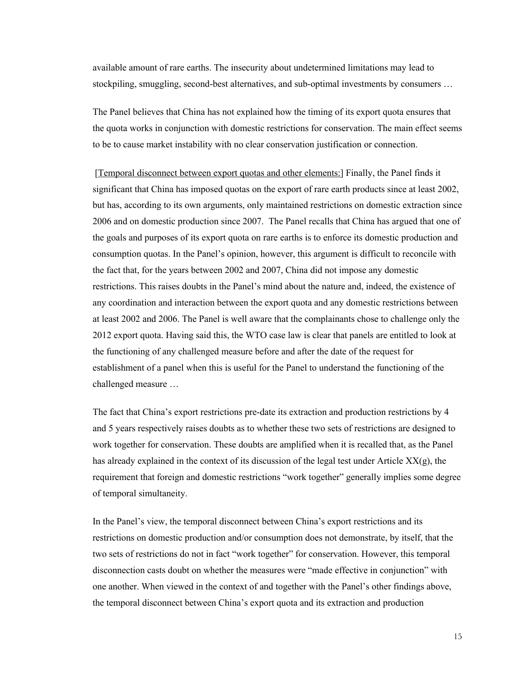available amount of rare earths. The insecurity about undetermined limitations may lead to stockpiling, smuggling, second-best alternatives, and sub-optimal investments by consumers …

The Panel believes that China has not explained how the timing of its export quota ensures that the quota works in conjunction with domestic restrictions for conservation. The main effect seems to be to cause market instability with no clear conservation justification or connection.

[Temporal disconnect between export quotas and other elements:] Finally, the Panel finds it significant that China has imposed quotas on the export of rare earth products since at least 2002, but has, according to its own arguments, only maintained restrictions on domestic extraction since 2006 and on domestic production since 2007. The Panel recalls that China has argued that one of the goals and purposes of its export quota on rare earths is to enforce its domestic production and consumption quotas. In the Panel's opinion, however, this argument is difficult to reconcile with the fact that, for the years between 2002 and 2007, China did not impose any domestic restrictions. This raises doubts in the Panel's mind about the nature and, indeed, the existence of any coordination and interaction between the export quota and any domestic restrictions between at least 2002 and 2006. The Panel is well aware that the complainants chose to challenge only the 2012 export quota. Having said this, the WTO case law is clear that panels are entitled to look at the functioning of any challenged measure before and after the date of the request for establishment of a panel when this is useful for the Panel to understand the functioning of the challenged measure …

The fact that China's export restrictions pre-date its extraction and production restrictions by 4 and 5 years respectively raises doubts as to whether these two sets of restrictions are designed to work together for conservation. These doubts are amplified when it is recalled that, as the Panel has already explained in the context of its discussion of the legal test under Article XX(g), the requirement that foreign and domestic restrictions "work together" generally implies some degree of temporal simultaneity.

In the Panel's view, the temporal disconnect between China's export restrictions and its restrictions on domestic production and/or consumption does not demonstrate, by itself, that the two sets of restrictions do not in fact "work together" for conservation. However, this temporal disconnection casts doubt on whether the measures were "made effective in conjunction" with one another. When viewed in the context of and together with the Panel's other findings above, the temporal disconnect between China's export quota and its extraction and production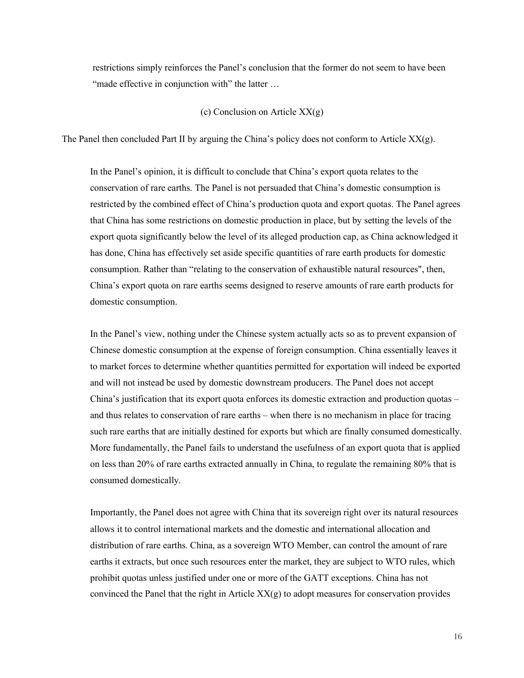restrictions simply reinforces the Panel's conclusion that the former do not seem to have been "made effective in conjunction with" the latter ...

#### (c) Conclusion on Article XX(g)

The Panel then concluded Part II by arguing the China's policy does not conform to Article  $XX(g)$ .

In the Panel's opinion, it is difficult to conclude that China's export quota relates to the conservation of rare earths. The Panel is not persuaded that China's domestic consumption is restricted by the combined effect of China's production quota and export quotas. The Panel agrees that China has some restrictions on domestic production in place, but by setting the levels of the export quota significantly below the level of its alleged production cap, as China acknowledged it has done, China has effectively set aside specific quantities of rare earth products for domestic consumption. Rather than "relating to the conservation of exhaustible natural resources", then, China's export quota on rare earths seems designed to reserve amounts of rare earth products for domestic consumption.

In the Panel's view, nothing under the Chinese system actually acts so as to prevent expansion of Chinese domestic consumption at the expense of foreign consumption. China essentially leaves it to market forces to determine whether quantities permitted for exportation will indeed be exported and will not instead be used by domestic downstream producers. The Panel does not accept China's justification that its export quota enforces its domestic extraction and production quotas – and thus relates to conservation of rare earths – when there is no mechanism in place for tracing such rare earths that are initially destined for exports but which are finally consumed domestically. More fundamentally, the Panel fails to understand the usefulness of an export quota that is applied on less than 20% of rare earths extracted annually in China, to regulate the remaining 80% that is consumed domestically.

Importantly, the Panel does not agree with China that its sovereign right over its natural resources allows it to control international markets and the domestic and international allocation and distribution of rare earths. China, as a sovereign WTO Member, can control the amount of rare earths it extracts, but once such resources enter the market, they are subject to WTO rules, which prohibit quotas unless justified under one or more of the GATT exceptions. China has not convinced the Panel that the right in Article  $XX(g)$  to adopt measures for conservation provides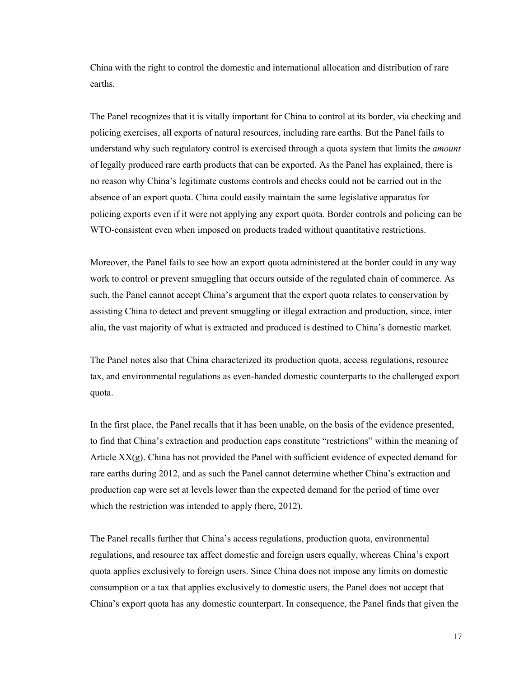China with the right to control the domestic and international allocation and distribution of rare earths.

The Panel recognizes that it is vitally important for China to control at its border, via checking and policing exercises, all exports of natural resources, including rare earths. But the Panel fails to understand why such regulatory control is exercised through a quota system that limits the *amount* of legally produced rare earth products that can be exported. As the Panel has explained, there is no reason why China's legitimate customs controls and checks could not be carried out in the absence of an export quota. China could easily maintain the same legislative apparatus for policing exports even if it were not applying any export quota. Border controls and policing can be WTO-consistent even when imposed on products traded without quantitative restrictions.

Moreover, the Panel fails to see how an export quota administered at the border could in any way work to control or prevent smuggling that occurs outside of the regulated chain of commerce. As such, the Panel cannot accept China's argument that the export quota relates to conservation by assisting China to detect and prevent smuggling or illegal extraction and production, since, inter alia, the vast majority of what is extracted and produced is destined to China's domestic market.

The Panel notes also that China characterized its production quota, access regulations, resource tax, and environmental regulations as even-handed domestic counterparts to the challenged export quota.

In the first place, the Panel recalls that it has been unable, on the basis of the evidence presented, to find that China's extraction and production caps constitute "restrictions" within the meaning of Article  $XX(g)$ . China has not provided the Panel with sufficient evidence of expected demand for rare earths during 2012, and as such the Panel cannot determine whether China's extraction and production cap were set at levels lower than the expected demand for the period of time over which the restriction was intended to apply (here, 2012).

The Panel recalls further that China's access regulations, production quota, environmental regulations, and resource tax affect domestic and foreign users equally, whereas China's export quota applies exclusively to foreign users. Since China does not impose any limits on domestic consumption or a tax that applies exclusively to domestic users, the Panel does not accept that China's export quota has any domestic counterpart. In consequence, the Panel finds that given the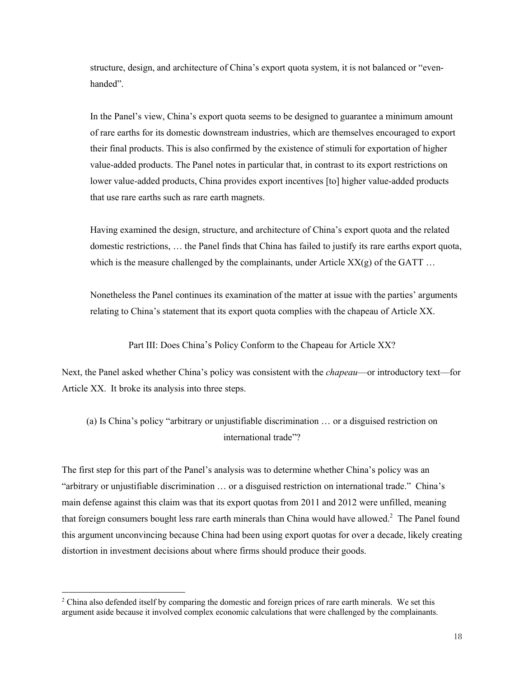structure, design, and architecture of China's export quota system, it is not balanced or "evenhanded".

In the Panel's view, China's export quota seems to be designed to guarantee a minimum amount of rare earths for its domestic downstream industries, which are themselves encouraged to export their final products. This is also confirmed by the existence of stimuli for exportation of higher value-added products. The Panel notes in particular that, in contrast to its export restrictions on lower value-added products, China provides export incentives [to] higher value-added products that use rare earths such as rare earth magnets.

Having examined the design, structure, and architecture of China's export quota and the related domestic restrictions, … the Panel finds that China has failed to justify its rare earths export quota, which is the measure challenged by the complainants, under Article  $XX(g)$  of the GATT ...

Nonetheless the Panel continues its examination of the matter at issue with the parties' arguments relating to China's statement that its export quota complies with the chapeau of Article XX.

Part III: Does China's Policy Conform to the Chapeau for Article XX?

Next, the Panel asked whether China's policy was consistent with the *chapeau*—or introductory text—for Article XX. It broke its analysis into three steps.

(a) Is China's policy "arbitrary or unjustifiable discrimination … or a disguised restriction on international trade"?

The first step for this part of the Panel's analysis was to determine whether China's policy was an "arbitrary or unjustifiable discrimination … or a disguised restriction on international trade." China's main defense against this claim was that its export quotas from 2011 and 2012 were unfilled, meaning that foreign consumers bought less rare earth minerals than China would have allowed.<sup>2</sup> The Panel found this argument unconvincing because China had been using export quotas for over a decade, likely creating distortion in investment decisions about where firms should produce their goods.

<sup>&</sup>lt;sup>2</sup> China also defended itself by comparing the domestic and foreign prices of rare earth minerals. We set this argument aside because it involved complex economic calculations that were challenged by the complainants.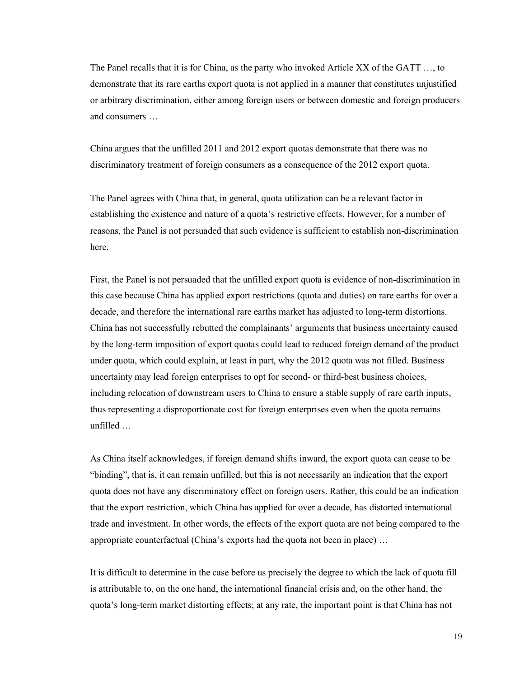The Panel recalls that it is for China, as the party who invoked Article XX of the GATT …, to demonstrate that its rare earths export quota is not applied in a manner that constitutes unjustified or arbitrary discrimination, either among foreign users or between domestic and foreign producers and consumers …

China argues that the unfilled 2011 and 2012 export quotas demonstrate that there was no discriminatory treatment of foreign consumers as a consequence of the 2012 export quota.

The Panel agrees with China that, in general, quota utilization can be a relevant factor in establishing the existence and nature of a quota's restrictive effects. However, for a number of reasons, the Panel is not persuaded that such evidence is sufficient to establish non-discrimination here.

First, the Panel is not persuaded that the unfilled export quota is evidence of non-discrimination in this case because China has applied export restrictions (quota and duties) on rare earths for over a decade, and therefore the international rare earths market has adjusted to long-term distortions. China has not successfully rebutted the complainants' arguments that business uncertainty caused by the long-term imposition of export quotas could lead to reduced foreign demand of the product under quota, which could explain, at least in part, why the 2012 quota was not filled. Business uncertainty may lead foreign enterprises to opt for second- or third-best business choices, including relocation of downstream users to China to ensure a stable supply of rare earth inputs, thus representing a disproportionate cost for foreign enterprises even when the quota remains unfilled …

As China itself acknowledges, if foreign demand shifts inward, the export quota can cease to be "binding", that is, it can remain unfilled, but this is not necessarily an indication that the export quota does not have any discriminatory effect on foreign users. Rather, this could be an indication that the export restriction, which China has applied for over a decade, has distorted international trade and investment. In other words, the effects of the export quota are not being compared to the appropriate counterfactual (China's exports had the quota not been in place) …

It is difficult to determine in the case before us precisely the degree to which the lack of quota fill is attributable to, on the one hand, the international financial crisis and, on the other hand, the quota's long-term market distorting effects; at any rate, the important point is that China has not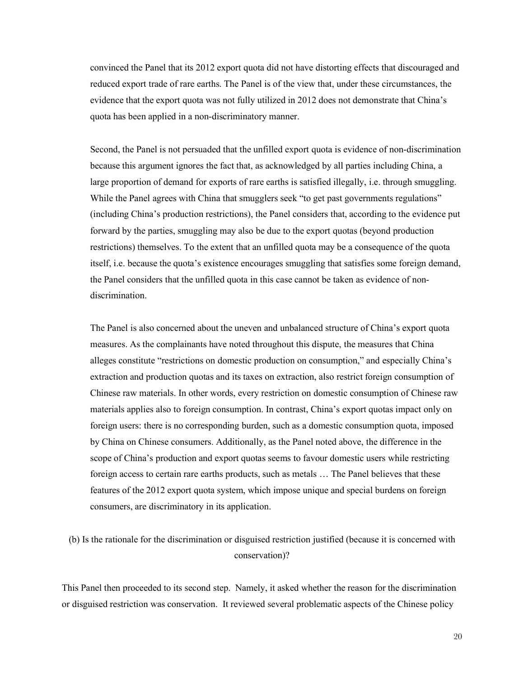convinced the Panel that its 2012 export quota did not have distorting effects that discouraged and reduced export trade of rare earths. The Panel is of the view that, under these circumstances, the evidence that the export quota was not fully utilized in 2012 does not demonstrate that China's quota has been applied in a non-discriminatory manner.

Second, the Panel is not persuaded that the unfilled export quota is evidence of non-discrimination because this argument ignores the fact that, as acknowledged by all parties including China, a large proportion of demand for exports of rare earths is satisfied illegally, i.e. through smuggling. While the Panel agrees with China that smugglers seek "to get past governments regulations" (including China's production restrictions), the Panel considers that, according to the evidence put forward by the parties, smuggling may also be due to the export quotas (beyond production restrictions) themselves. To the extent that an unfilled quota may be a consequence of the quota itself, i.e. because the quota's existence encourages smuggling that satisfies some foreign demand, the Panel considers that the unfilled quota in this case cannot be taken as evidence of nondiscrimination.

The Panel is also concerned about the uneven and unbalanced structure of China's export quota measures. As the complainants have noted throughout this dispute, the measures that China alleges constitute "restrictions on domestic production on consumption," and especially China's extraction and production quotas and its taxes on extraction, also restrict foreign consumption of Chinese raw materials. In other words, every restriction on domestic consumption of Chinese raw materials applies also to foreign consumption. In contrast, China's export quotas impact only on foreign users: there is no corresponding burden, such as a domestic consumption quota, imposed by China on Chinese consumers. Additionally, as the Panel noted above, the difference in the scope of China's production and export quotas seems to favour domestic users while restricting foreign access to certain rare earths products, such as metals … The Panel believes that these features of the 2012 export quota system, which impose unique and special burdens on foreign consumers, are discriminatory in its application.

# (b) Is the rationale for the discrimination or disguised restriction justified (because it is concerned with conservation)?

This Panel then proceeded to its second step. Namely, it asked whether the reason for the discrimination or disguised restriction was conservation. It reviewed several problematic aspects of the Chinese policy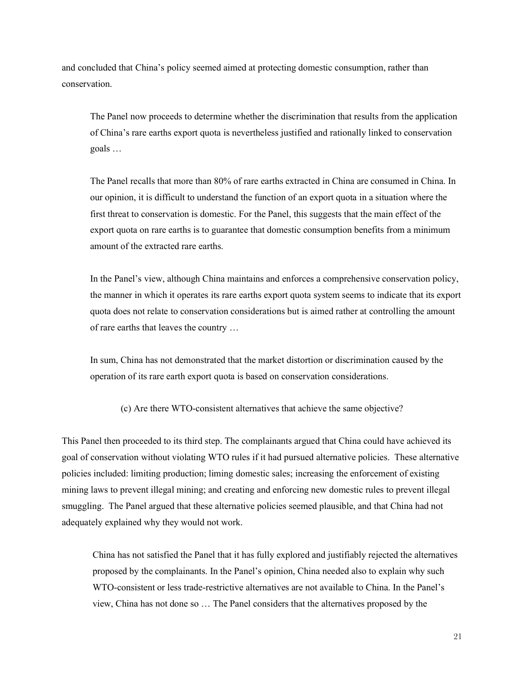and concluded that China's policy seemed aimed at protecting domestic consumption, rather than conservation.

The Panel now proceeds to determine whether the discrimination that results from the application of China's rare earths export quota is nevertheless justified and rationally linked to conservation goals …

The Panel recalls that more than 80% of rare earths extracted in China are consumed in China. In our opinion, it is difficult to understand the function of an export quota in a situation where the first threat to conservation is domestic. For the Panel, this suggests that the main effect of the export quota on rare earths is to guarantee that domestic consumption benefits from a minimum amount of the extracted rare earths.

In the Panel's view, although China maintains and enforces a comprehensive conservation policy, the manner in which it operates its rare earths export quota system seems to indicate that its export quota does not relate to conservation considerations but is aimed rather at controlling the amount of rare earths that leaves the country …

In sum, China has not demonstrated that the market distortion or discrimination caused by the operation of its rare earth export quota is based on conservation considerations.

(c) Are there WTO-consistent alternatives that achieve the same objective?

This Panel then proceeded to its third step. The complainants argued that China could have achieved its goal of conservation without violating WTO rules if it had pursued alternative policies. These alternative policies included: limiting production; liming domestic sales; increasing the enforcement of existing mining laws to prevent illegal mining; and creating and enforcing new domestic rules to prevent illegal smuggling. The Panel argued that these alternative policies seemed plausible, and that China had not adequately explained why they would not work.

China has not satisfied the Panel that it has fully explored and justifiably rejected the alternatives proposed by the complainants. In the Panel's opinion, China needed also to explain why such WTO-consistent or less trade-restrictive alternatives are not available to China. In the Panel's view, China has not done so … The Panel considers that the alternatives proposed by the